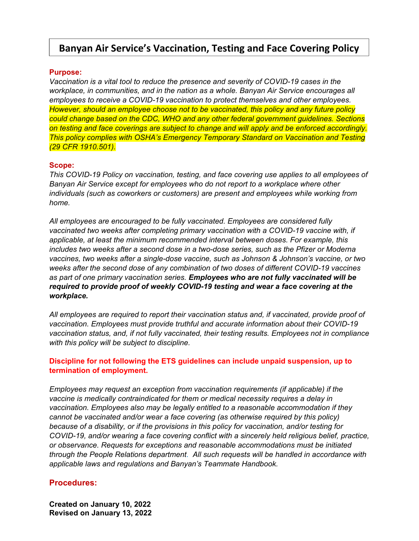# **Banyan Air Service's Vaccination, Testing and Face Covering Policy**

### **Purpose:**

*Vaccination is a vital tool to reduce the presence and severity of COVID-19 cases in the workplace, in communities, and in the nation as a whole. Banyan Air Service encourages all employees to receive a COVID-19 vaccination to protect themselves and other employees. However, should an employee choose not to be vaccinated, this policy and any future policy could change based on the CDC, WHO and any other federal government guidelines. Sections on testing and face coverings are subject to change and will apply and be enforced accordingly. This policy complies with OSHA's Emergency Temporary Standard on Vaccination and Testing (29 CFR 1910.501).* 

#### **Scope:**

*This COVID-19 Policy on vaccination, testing, and face covering use applies to all employees of Banyan Air Service except for employees who do not report to a workplace where other individuals (such as coworkers or customers) are present and employees while working from home.* 

*All employees are encouraged to be fully vaccinated. Employees are considered fully vaccinated two weeks after completing primary vaccination with a COVID-19 vaccine with, if applicable, at least the minimum recommended interval between doses. For example, this includes two weeks after a second dose in a two-dose series, such as the Pfizer or Moderna vaccines, two weeks after a single-dose vaccine, such as Johnson & Johnson's vaccine, or two weeks after the second dose of any combination of two doses of different COVID-19 vaccines as part of one primary vaccination series. Employees who are not fully vaccinated will be required to provide proof of weekly COVID-19 testing and wear a face covering at the workplace.* 

*All employees are required to report their vaccination status and, if vaccinated, provide proof of vaccination. Employees must provide truthful and accurate information about their COVID-19 vaccination status, and, if not fully vaccinated, their testing results. Employees not in compliance with this policy will be subject to discipline.* 

### **Discipline for not following the ETS guidelines can include unpaid suspension, up to termination of employment.**

*Employees may request an exception from vaccination requirements (if applicable) if the vaccine is medically contraindicated for them or medical necessity requires a delay in vaccination. Employees also may be legally entitled to a reasonable accommodation if they cannot be vaccinated and/or wear a face covering (as otherwise required by this policy) because of a disability, or if the provisions in this policy for vaccination, and/or testing for COVID-19, and/or wearing a face covering conflict with a sincerely held religious belief, practice, or observance. Requests for exceptions and reasonable accommodations must be initiated through the People Relations department*. *All such requests will be handled in accordance with applicable laws and regulations and Banyan's Teammate Handbook.*

### **Procedures:**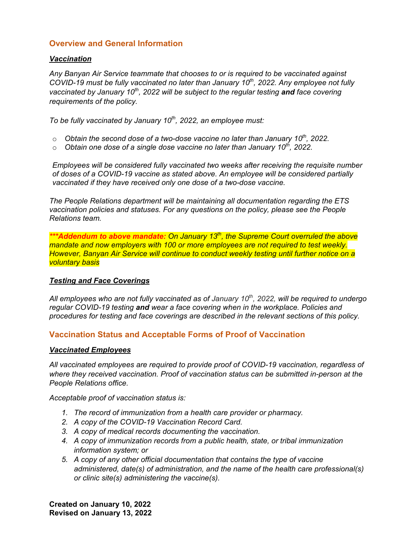# **Overview and General Information**

### *Vaccination*

*Any Banyan Air Service teammate that chooses to or is required to be vaccinated against COVID-19 must be fully vaccinated no later than January 10th, 2022. Any employee not fully vaccinated by January 10th, 2022 will be subject to the regular testing and face covering requirements of the policy.* 

*To be fully vaccinated by January 10th, 2022, an employee must:* 

- o *Obtain the second dose of a two-dose vaccine no later than January 10th, 2022.*
- o *Obtain one dose of a single dose vaccine no later than January 10th, 2022.*

*Employees will be considered fully vaccinated two weeks after receiving the requisite number of doses of a COVID-19 vaccine as stated above. An employee will be considered partially vaccinated if they have received only one dose of a two-dose vaccine.* 

*The People Relations department will be maintaining all documentation regarding the ETS vaccination policies and statuses. For any questions on the policy, please see the People Relations team.* 

*\*\*\*Addendum to above mandate: On January 13th, the Supreme Court overruled the above mandate and now employers with 100 or more employees are not required to test weekly. However, Banyan Air Service will continue to conduct weekly testing until further notice on a voluntary basis* 

# *Testing and Face Coverings*

All employees who are not fully vaccinated as of January 10<sup>th</sup>, 2022, will be required to undergo *regular COVID-19 testing and wear a face covering when in the workplace. Policies and procedures for testing and face coverings are described in the relevant sections of this policy.* 

# **Vaccination Status and Acceptable Forms of Proof of Vaccination**

### *Vaccinated Employees*

*All vaccinated employees are required to provide proof of COVID-19 vaccination, regardless of where they received vaccination. Proof of vaccination status can be submitted in-person at the People Relations office.* 

*Acceptable proof of vaccination status is:* 

- *1. The record of immunization from a health care provider or pharmacy.*
- *2. A copy of the COVID-19 Vaccination Record Card.*
- *3. A copy of medical records documenting the vaccination.*
- *4. A copy of immunization records from a public health, state, or tribal immunization information system; or*
- *5. A copy of any other official documentation that contains the type of vaccine administered, date(s) of administration, and the name of the health care professional(s) or clinic site(s) administering the vaccine(s).*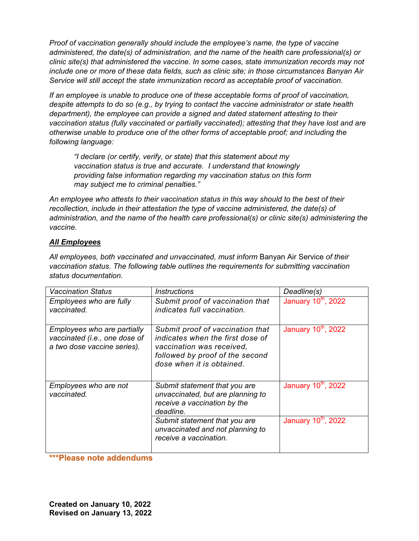*Proof of vaccination generally should include the employee's name, the type of vaccine administered, the date(s) of administration, and the name of the health care professional(s) or clinic site(s) that administered the vaccine. In some cases, state immunization records may not include one or more of these data fields, such as clinic site; in those circumstances Banyan Air Service will still accept the state immunization record as acceptable proof of vaccination.* 

*If an employee is unable to produce one of these acceptable forms of proof of vaccination, despite attempts to do so (e.g., by trying to contact the vaccine administrator or state health department), the employee can provide a signed and dated statement attesting to their vaccination status (fully vaccinated or partially vaccinated); attesting that they have lost and are otherwise unable to produce one of the other forms of acceptable proof; and including the following language:* 

*"I declare (or certify, verify, or state) that this statement about my vaccination status is true and accurate. I understand that knowingly providing false information regarding my vaccination status on this form may subject me to criminal penalties."* 

*An employee who attests to their vaccination status in this way should to the best of their recollection, include in their attestation the type of vaccine administered, the date(s) of administration, and the name of the health care professional(s) or clinic site(s) administering the vaccine.* 

# *All Employees*

*All employees, both vaccinated and unvaccinated, must inform* Banyan Air Service *of their vaccination status. The following table outlines the requirements for submitting vaccination status documentation.* 

| <b>Vaccination Status</b>                                                                   | <b>Instructions</b>                                                                                                                                               | Deadline(s)                     |
|---------------------------------------------------------------------------------------------|-------------------------------------------------------------------------------------------------------------------------------------------------------------------|---------------------------------|
| Employees who are fully<br>vaccinated.                                                      | Submit proof of vaccination that<br>indicates full vaccination.                                                                                                   | January 10 <sup>th</sup> , 2022 |
| Employees who are partially<br>vaccinated (i.e., one dose of<br>a two dose vaccine series). | Submit proof of vaccination that<br>indicates when the first dose of<br>vaccination was received,<br>followed by proof of the second<br>dose when it is obtained. | January 10 <sup>th</sup> , 2022 |
| Employees who are not<br>vaccinated.                                                        | Submit statement that you are<br>unvaccinated, but are planning to<br>receive a vaccination by the<br>deadline.                                                   | January 10 <sup>th</sup> , 2022 |
|                                                                                             | Submit statement that you are<br>unvaccinated and not planning to<br>receive a vaccination.                                                                       | January 10 <sup>th</sup> , 2022 |

**\*\*\*Please note addendums**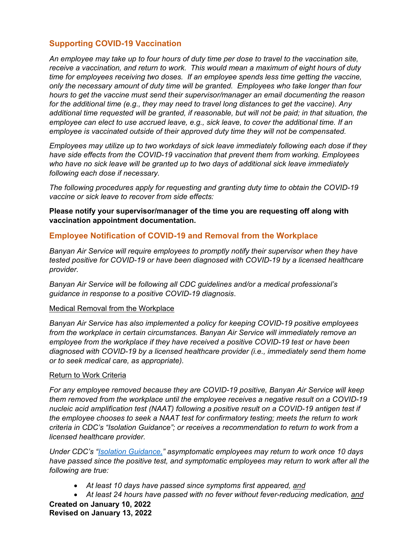# **Supporting COVID-19 Vaccination**

*An employee may take up to four hours of duty time per dose to travel to the vaccination site, receive a vaccination, and return to work. This would mean a maximum of eight hours of duty time for employees receiving two doses. If an employee spends less time getting the vaccine, only the necessary amount of duty time will be granted. Employees who take longer than four hours to get the vaccine must send their supervisor/manager an email documenting the reason for the additional time (e.g., they may need to travel long distances to get the vaccine). Any additional time requested will be granted, if reasonable, but will not be paid; in that situation, the employee can elect to use accrued leave, e.g., sick leave, to cover the additional time. If an employee is vaccinated outside of their approved duty time they will not be compensated.* 

*Employees may utilize up to two workdays of sick leave immediately following each dose if they have side effects from the COVID-19 vaccination that prevent them from working. Employees who have no sick leave will be granted up to two days of additional sick leave immediately following each dose if necessary.* 

*The following procedures apply for requesting and granting duty time to obtain the COVID-19 vaccine or sick leave to recover from side effects:* 

**Please notify your supervisor/manager of the time you are requesting off along with vaccination appointment documentation.** 

# **Employee Notification of COVID-19 and Removal from the Workplace**

*Banyan Air Service will require employees to promptly notify their supervisor when they have tested positive for COVID-19 or have been diagnosed with COVID-19 by a licensed healthcare provider.* 

*Banyan Air Service will be following all CDC guidelines and/or a medical professional's guidance in response to a positive COVID-19 diagnosis*.

### Medical Removal from the Workplace

*Banyan Air Service has also implemented a policy for keeping COVID-19 positive employees from the workplace in certain circumstances. Banyan Air Service will immediately remove an employee from the workplace if they have received a positive COVID-19 test or have been diagnosed with COVID-19 by a licensed healthcare provider (i.e., immediately send them home or to seek medical care, as appropriate).* 

### Return to Work Criteria

For any employee removed because they are COVID-19 positive, Banyan Air Service will keep *them removed from the workplace until the employee receives a negative result on a COVID-19 nucleic acid amplification test (NAAT) following a positive result on a COVID-19 antigen test if the employee chooses to seek a NAAT test for confirmatory testing; meets the return to work criteria in CDC's "Isolation Guidance"; or receives a recommendation to return to work from a licensed healthcare provider.* 

*Under CDC's "Isolation Guidance," asymptomatic employees may return to work once 10 days have passed since the positive test, and symptomatic employees may return to work after all the following are true:* 

- *At least 10 days have passed since symptoms first appeared, and*
- *At least 24 hours have passed with no fever without fever-reducing medication, and*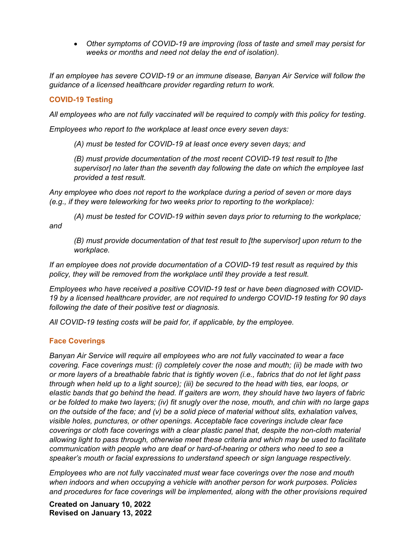*Other symptoms of COVID-19 are improving (loss of taste and smell may persist for weeks or months and need not delay the end of isolation).* 

*If an employee has severe COVID-19 or an immune disease, Banyan Air Service will follow the guidance of a licensed healthcare provider regarding return to work.* 

# **COVID-19 Testing**

*All employees who are not fully vaccinated will be required to comply with this policy for testing*.

*Employees who report to the workplace at least once every seven days:* 

*(A) must be tested for COVID-19 at least once every seven days; and* 

*(B) must provide documentation of the most recent COVID-19 test result to [the supervisor] no later than the seventh day following the date on which the employee last provided a test result.* 

*Any employee who does not report to the workplace during a period of seven or more days (e.g., if they were teleworking for two weeks prior to reporting to the workplace):* 

*(A) must be tested for COVID-19 within seven days prior to returning to the workplace; and* 

*(B) must provide documentation of that test result to [the supervisor] upon return to the workplace.* 

*If an employee does not provide documentation of a COVID-19 test result as required by this policy, they will be removed from the workplace until they provide a test result.* 

*Employees who have received a positive COVID-19 test or have been diagnosed with COVID-19 by a licensed healthcare provider, are not required to undergo COVID-19 testing for 90 days following the date of their positive test or diagnosis.* 

*All COVID-19 testing costs will be paid for, if applicable, by the employee.* 

# **Face Coverings**

*Banyan Air Service will require all employees who are not fully vaccinated to wear a face covering. Face coverings must: (i) completely cover the nose and mouth; (ii) be made with two or more layers of a breathable fabric that is tightly woven (i.e., fabrics that do not let light pass through when held up to a light source); (iii) be secured to the head with ties, ear loops, or elastic bands that go behind the head. If gaiters are worn, they should have two layers of fabric or be folded to make two layers; (iv) fit snugly over the nose, mouth, and chin with no large gaps on the outside of the face; and (v) be a solid piece of material without slits, exhalation valves, visible holes, punctures, or other openings. Acceptable face coverings include clear face coverings or cloth face coverings with a clear plastic panel that, despite the non-cloth material allowing light to pass through, otherwise meet these criteria and which may be used to facilitate communication with people who are deaf or hard-of-hearing or others who need to see a speaker's mouth or facial expressions to understand speech or sign language respectively.* 

*Employees who are not fully vaccinated must wear face coverings over the nose and mouth when indoors and when occupying a vehicle with another person for work purposes. Policies and procedures for face coverings will be implemented, along with the other provisions required*